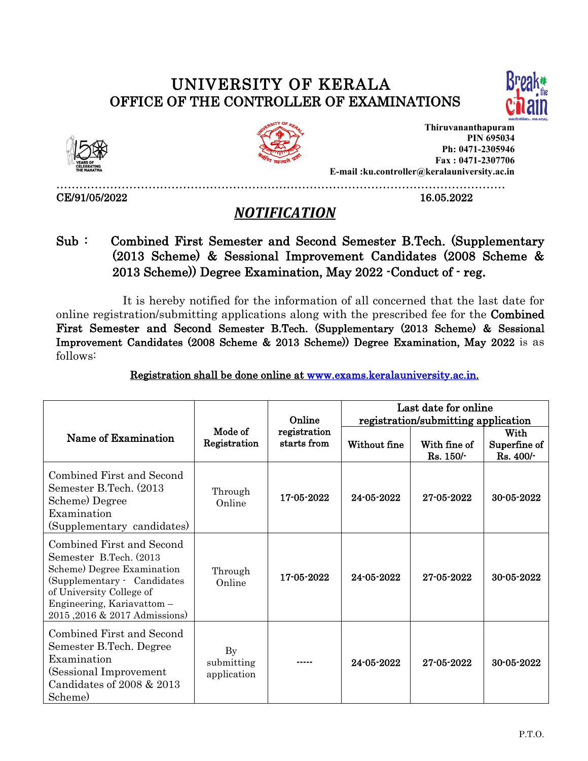## UNIVERSITY OF KERALA OFFICE OF THE CONTROLLER OF EXAMINATIONS





CE/91/05/2022 16.05.2022



**Thiruvananthapuram PIN 695034 Ph: 0471-2305946 Fax : 0471-2307706 E-mail :ku.controller@keralauniversity.ac.in**

………………………………………………………………………………………………………

## *NOTIFICATION*

Sub : Combined First Semester and Second Semester B.Tech. (Supplementary (2013 Scheme) & Sessional Improvement Candidates (2008 Scheme & 2013 Scheme)) Degree Examination, May 2022 -Conduct of- reg.

It is hereby notified for the information of all concerned that the last date for online registration/submitting applications along with the prescribed fee for the Combined First Semester and Second Semester B.Tech. (Supplementary (2013 Scheme) & Sessional Improvement Candidates (2008 Scheme & 2013 Scheme)) Degree Examination, May 2022 is as follows:

Registration shall be done online at [www.exams.keralauniversity.ac.in.](http://www.exams.keralauniversity.ac.in)

|                                                                                                                                                                                                            | Mode of<br>Registration                    | Online<br>registration<br>starts from | Last date for online<br>registration/submitting application |                           |                                   |
|------------------------------------------------------------------------------------------------------------------------------------------------------------------------------------------------------------|--------------------------------------------|---------------------------------------|-------------------------------------------------------------|---------------------------|-----------------------------------|
| Name of Examination                                                                                                                                                                                        |                                            |                                       | Without fine                                                | With fine of<br>Rs. 150/- | With<br>Superfine of<br>Rs. 400/- |
| Combined First and Second<br>Semester B.Tech. (2013)<br>Scheme) Degree<br>Examination<br>(Supplementary candidates)                                                                                        | Through<br>Online                          | 17-05-2022                            | 24-05-2022                                                  | 27-05-2022                | 30-05-2022                        |
| Combined First and Second<br>Semester B.Tech. (2013)<br>Scheme) Degree Examination<br>(Supplementary Candidates<br>of University College of<br>Engineering, Kariavattom -<br>2015, 2016 & 2017 Admissions) | Through<br>Online                          | 17-05-2022                            | 24-05-2022                                                  | 27-05-2022                | 30-05-2022                        |
| Combined First and Second<br>Semester B.Tech. Degree<br>Examination<br>(Sessional Improvement)<br>Candidates of 2008 & 2013<br>Scheme)                                                                     | $\mathbf{By}$<br>submitting<br>application |                                       | 24-05-2022                                                  | 27-05-2022                | 30-05-2022                        |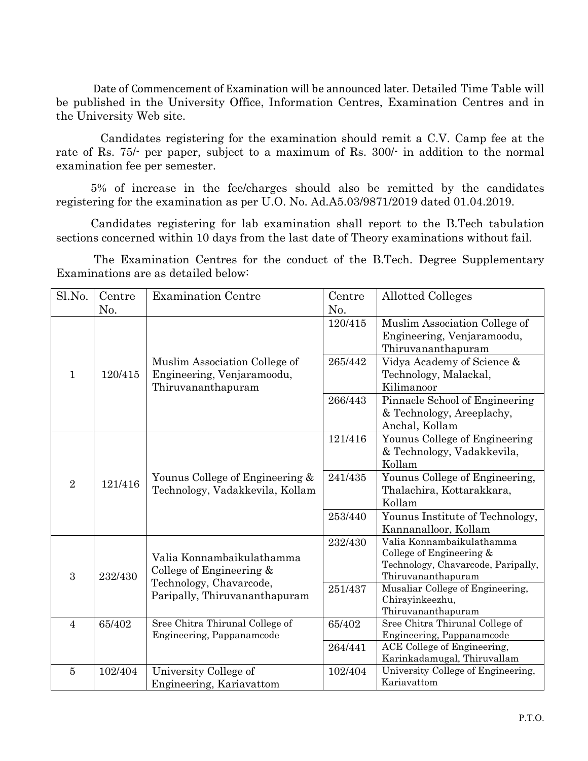Date of Commencement of Examination will be announced later. Detailed Time Table will be published in the University Office, Information Centres, Examination Centres and in the University Web site.

Candidates registering for the examination should remit a C.V. Camp fee at the rate of Rs. 75/- per paper, subject to a maximum of Rs. 300/- in addition to the normal examination fee per semester.

5% of increase in the fee/charges should also be remitted by the candidates registering for the examination as per U.O. No. Ad.A5.03/9871/2019 dated 01.04.2019.

Candidates registering for lab examination shall report to the B.Tech tabulation sections concerned within 10 days from the last date of Theory examinations without fail.

The Examination Centres for the conduct of the B.Tech. Degree Supplementary Examinations are as detailed below:

| Sl.No.                  | Centre                        | <b>Examination Centre</b>                                                         | Centre                                                                        | <b>Allotted Colleges</b>                                                                                          |
|-------------------------|-------------------------------|-----------------------------------------------------------------------------------|-------------------------------------------------------------------------------|-------------------------------------------------------------------------------------------------------------------|
|                         | N <sub>0</sub> .              |                                                                                   | No.                                                                           |                                                                                                                   |
|                         |                               |                                                                                   | 120/415                                                                       | Muslim Association College of<br>Engineering, Venjaramoodu,<br>Thiruvananthapuram                                 |
| $\mathbf{1}$            | 120/415                       | Muslim Association College of<br>Engineering, Venjaramoodu,<br>Thiruvananthapuram | 265/442                                                                       | Vidya Academy of Science &<br>Technology, Malackal,<br>Kilimanoor                                                 |
|                         |                               | 266/443                                                                           | Pinnacle School of Engineering<br>& Technology, Areeplachy,<br>Anchal, Kollam |                                                                                                                   |
|                         |                               |                                                                                   | 121/416                                                                       | Younus College of Engineering<br>& Technology, Vadakkevila,<br>Kollam                                             |
| $\overline{2}$          | 121/416                       | Younus College of Engineering &<br>Technology, Vadakkevila, Kollam                | 241/435                                                                       | Younus College of Engineering,<br>Thalachira, Kottarakkara,<br>Kollam                                             |
|                         |                               | 253/440                                                                           | Younus Institute of Technology,<br>Kannanalloor, Kollam                       |                                                                                                                   |
| $\boldsymbol{3}$        | 232/430                       | Valia Konnambaikulathamma<br>College of Engineering &                             | 232/430                                                                       | Valia Konnambaikulathamma<br>College of Engineering &<br>Technology, Chavarcode, Paripally,<br>Thiruvananthapuram |
| Technology, Chavarcode, | Paripally, Thiruvananthapuram | 251/437                                                                           | Musaliar College of Engineering,<br>Chirayinkeezhu,<br>Thiruvananthapuram     |                                                                                                                   |
| $\overline{4}$          | 65/402                        | Sree Chitra Thirunal College of<br>Engineering, Pappanamcode                      | 65/402                                                                        | Sree Chitra Thirunal College of<br>Engineering, Pappanamcode                                                      |
|                         |                               |                                                                                   | 264/441                                                                       | ACE College of Engineering,<br>Karinkadamugal, Thiruvallam                                                        |
| $\overline{5}$          | 102/404                       | University College of<br>Engineering, Kariavattom                                 | 102/404                                                                       | University College of Engineering,<br>Kariavattom                                                                 |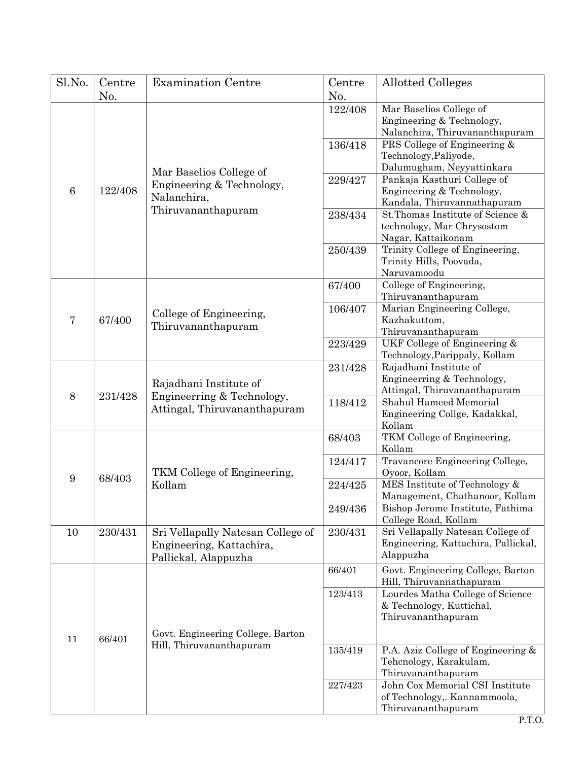| Sl.No.                                                                             | Centre                                                                               | <b>Examination Centre</b>                                                             | Centre                                                                                         | <b>Allotted Colleges</b>                                                              |
|------------------------------------------------------------------------------------|--------------------------------------------------------------------------------------|---------------------------------------------------------------------------------------|------------------------------------------------------------------------------------------------|---------------------------------------------------------------------------------------|
|                                                                                    | No.                                                                                  |                                                                                       | No.<br>122/408                                                                                 | Mar Baselios College of<br>Engineering & Technology,                                  |
| Mar Baselios College of<br>$\,6\,$<br>122/408<br>Nalanchira,<br>Thiruvananthapuram | Engineering & Technology,                                                            |                                                                                       | Nalanchira, Thiruvananthapuram                                                                 |                                                                                       |
|                                                                                    |                                                                                      | 136/418                                                                               | PRS College of Engineering &<br>Technology, Paliyode,                                          |                                                                                       |
|                                                                                    |                                                                                      | 229/427                                                                               | Dalumugham, Neyyattinkara<br>Pankaja Kasthuri College of<br>Engineering & Technology,          |                                                                                       |
|                                                                                    |                                                                                      | 238/434                                                                               | Kandala, Thiruvannathapuram<br>St. Thomas Institute of Science &<br>technology, Mar Chrysostom |                                                                                       |
|                                                                                    |                                                                                      | 250/439                                                                               | Nagar, Kattaikonam<br>Trinity College of Engineering,<br>Trinity Hills, Poovada,               |                                                                                       |
| $\overline{7}$<br>67/400                                                           | College of Engineering,<br>Thiruvananthapuram                                        | 67/400                                                                                | Naruvamoodu<br>College of Engineering,<br>Thiruvananthapuram                                   |                                                                                       |
|                                                                                    |                                                                                      | 106/407                                                                               | Marian Engineering College,<br>Kazhakuttom,<br>Thiruvananthapuram                              |                                                                                       |
|                                                                                    |                                                                                      | 223/429                                                                               | UKF College of Engineering &<br>Technology, Parippaly, Kollam                                  |                                                                                       |
| 8<br>231/428                                                                       | Rajadhani Institute of<br>Engineerring & Technology,<br>Attingal, Thiruvananthapuram | 231/428                                                                               | Rajadhani Institute of<br>Engineerring & Technology,<br>Attingal, Thiruvananthapuram           |                                                                                       |
|                                                                                    |                                                                                      | 118/412                                                                               | Shahul Hameed Memorial<br>Engineering Collge, Kadakkal,<br>Kollam                              |                                                                                       |
| 9<br>68/403                                                                        | TKM College of Engineering,<br>Kollam                                                | 68/403                                                                                | TKM College of Engineering,<br>Kollam                                                          |                                                                                       |
|                                                                                    |                                                                                      | 124/417                                                                               | Travancore Engineering College,<br>Oyoor, Kollam                                               |                                                                                       |
|                                                                                    |                                                                                      | 224/425                                                                               | MES Institute of Technology &<br>Management, Chathanoor, Kollam                                |                                                                                       |
|                                                                                    |                                                                                      |                                                                                       | 249/436                                                                                        | Bishop Jerome Institute, Fathima<br>College Road, Kollam                              |
| 10                                                                                 | 230/431                                                                              | Sri Vellapally Natesan College of<br>Engineering, Kattachira,<br>Pallickal, Alappuzha | 230/431                                                                                        | Sri Vellapally Natesan College of<br>Engineering, Kattachira, Pallickal,<br>Alappuzha |
|                                                                                    |                                                                                      | 66/401                                                                                | Govt. Engineering College, Barton<br>Hill, Thiruvannathapuram                                  |                                                                                       |
|                                                                                    |                                                                                      |                                                                                       | 123/413                                                                                        | Lourdes Matha College of Science<br>& Technology, Kuttichal,<br>Thiruvananthapuram    |
| 66/401<br>11                                                                       | Govt. Engineering College, Barton                                                    |                                                                                       |                                                                                                |                                                                                       |
|                                                                                    |                                                                                      | Hill, Thiruvananthapuram                                                              | 135/419                                                                                        | P.A. Aziz College of Engineering &<br>Tehcnology, Karakulam,<br>Thiruvananthapuram    |
|                                                                                    |                                                                                      |                                                                                       | 227/423                                                                                        | John Cox Memorial CSI Institute<br>of Technology,. Kannammoola,<br>Thiruvananthapuram |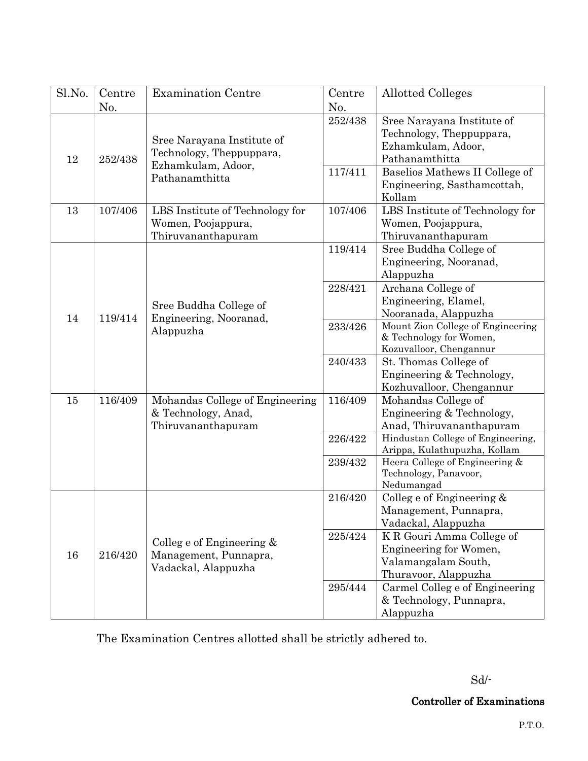| Sl.No.               | Centre                                                                       | <b>Examination Centre</b>                                                   | Centre                                                                                              | <b>Allotted Colleges</b>                                                                           |
|----------------------|------------------------------------------------------------------------------|-----------------------------------------------------------------------------|-----------------------------------------------------------------------------------------------------|----------------------------------------------------------------------------------------------------|
| No.<br>12<br>252/438 | Sree Narayana Institute of                                                   | No.<br>252/438                                                              | Sree Narayana Institute of<br>Technology, Theppuppara,<br>Ezhamkulam, Adoor,                        |                                                                                                    |
|                      | Technology, Theppuppara,<br>Ezhamkulam, Adoor,<br>Pathanamthitta             | 117/411                                                                     | Pathanamthitta<br>Baselios Mathews II College of<br>Engineering, Sasthamcottah,                     |                                                                                                    |
| 13                   | 107/406                                                                      | LBS Institute of Technology for<br>Women, Poojappura,<br>Thiruvananthapuram | 107/406                                                                                             | Kollam<br>LBS Institute of Technology for<br>Women, Poojappura,<br>Thiruvananthapuram              |
| 14<br>119/414        | Sree Buddha College of<br>Engineering, Nooranad,<br>Alappuzha                | 119/414                                                                     | Sree Buddha College of<br>Engineering, Nooranad,<br>Alappuzha                                       |                                                                                                    |
|                      |                                                                              | 228/421                                                                     | Archana College of<br>Engineering, Elamel,<br>Nooranada, Alappuzha                                  |                                                                                                    |
|                      |                                                                              | 233/426                                                                     | Mount Zion College of Engineering<br>& Technology for Women,<br>Kozuvalloor, Chengannur             |                                                                                                    |
|                      |                                                                              | 240/433                                                                     | St. Thomas College of<br>Engineering & Technology,<br>Kozhuvalloor, Chengannur                      |                                                                                                    |
| 15<br>116/409        | Mohandas College of Engineering<br>& Technology, Anad,<br>Thiruvananthapuram | 116/409                                                                     | Mohandas College of<br>Engineering & Technology,<br>Anad, Thiruvananthapuram                        |                                                                                                    |
|                      |                                                                              | 226/422                                                                     | Hindustan College of Engineering,<br>Arippa, Kulathupuzha, Kollam<br>Heera College of Engineering & |                                                                                                    |
|                      |                                                                              | 239/432                                                                     | Technology, Panavoor,<br>Nedumangad                                                                 |                                                                                                    |
| 16<br>216/420        |                                                                              | 216/420                                                                     | College of Engineering $&$<br>Management, Punnapra,<br>Vadackal, Alappuzha                          |                                                                                                    |
|                      |                                                                              | College of Engineering $&$<br>Management, Punnapra,<br>Vadackal, Alappuzha  | 225/424                                                                                             | K R Gouri Amma College of<br>Engineering for Women,<br>Valamangalam South,<br>Thuravoor, Alappuzha |
|                      |                                                                              |                                                                             | 295/444                                                                                             | Carmel Colleg e of Engineering<br>& Technology, Punnapra,<br>Alappuzha                             |

The Examination Centres allotted shall be strictly adhered to.

Sd/-

Controller of Examinations